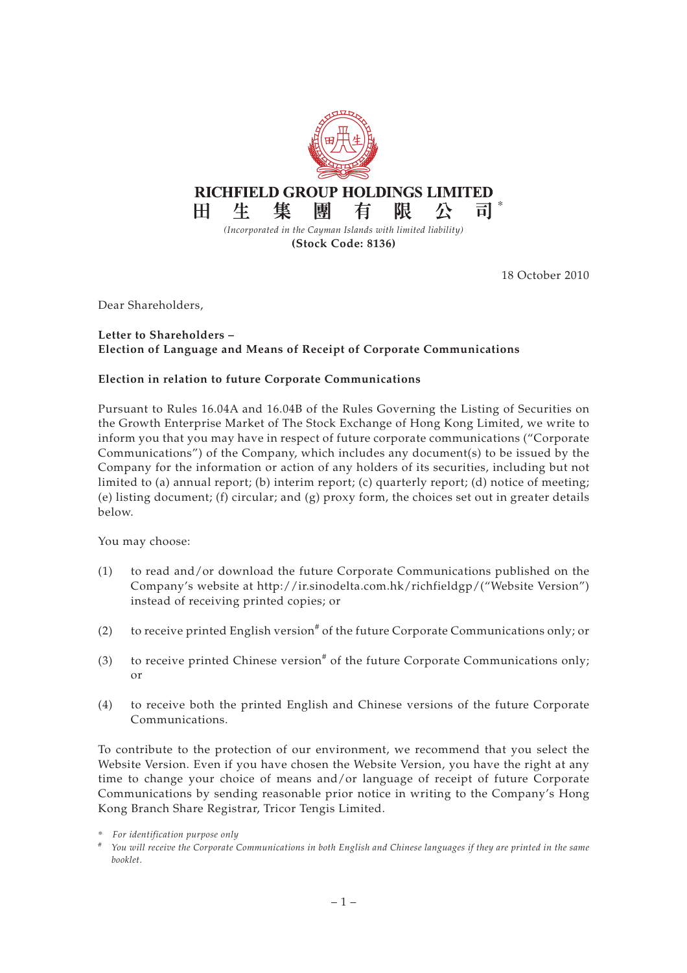

18 October 2010

Dear Shareholders,

## **Letter to Shareholders – Election of Language and Means of Receipt of Corporate Communications**

## **Election in relation to future Corporate Communications**

Pursuant to Rules 16.04A and 16.04B of the Rules Governing the Listing of Securities on the Growth Enterprise Market of The Stock Exchange of Hong Kong Limited, we write to inform you that you may have in respect of future corporate communications ("Corporate Communications") of the Company, which includes any document(s) to be issued by the Company for the information or action of any holders of its securities, including but not limited to (a) annual report; (b) interim report; (c) quarterly report; (d) notice of meeting; (e) listing document; (f) circular; and  $(g)$  proxy form, the choices set out in greater details below.

You may choose:

- (1) to read and/or download the future Corporate Communications published on the Company's website at http://ir.sinodelta.com.hk/richfieldgp/("Website Version") instead of receiving printed copies; or
- (2) to receive printed English version<sup>#</sup> of the future Corporate Communications only; or
- (3) to receive printed Chinese version<sup>#</sup> of the future Corporate Communications only; or
- (4) to receive both the printed English and Chinese versions of the future Corporate Communications.

To contribute to the protection of our environment, we recommend that you select the Website Version. Even if you have chosen the Website Version, you have the right at any time to change your choice of means and/or language of receipt of future Corporate Communications by sending reasonable prior notice in writing to the Company's Hong Kong Branch Share Registrar, Tricor Tengis Limited.

<sup>\*</sup> *For identification purpose only*

*<sup>#</sup> You will receive the Corporate Communications in both English and Chinese languages if they are printed in the same booklet.*